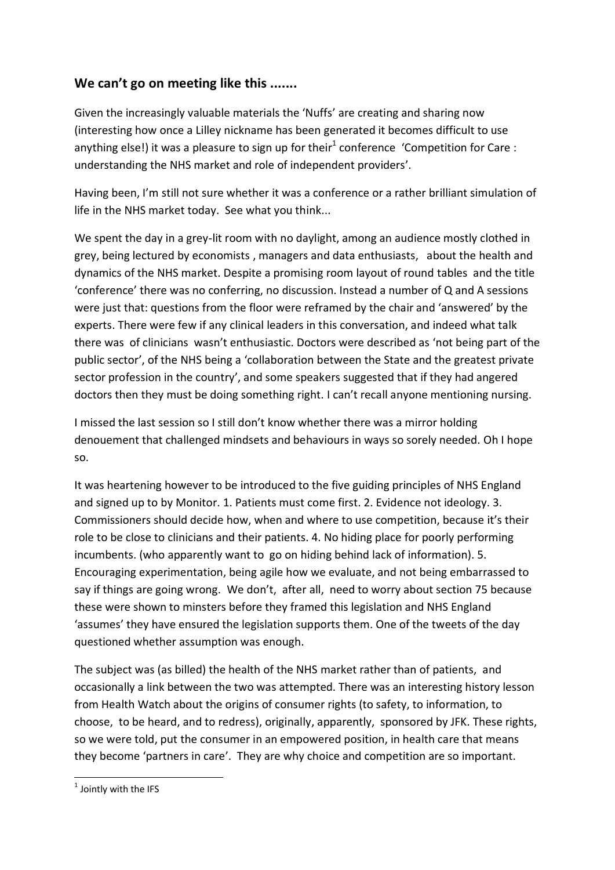## **We can't go on meeting like this .......**

Given the increasingly valuable materials the 'Nuffs' are creating and sharing now (interesting how once a Lilley nickname has been generated it becomes difficult to use anything else!) it was a pleasure to sign up for their<sup>1</sup> conference 'Competition for Care : understanding the NHS market and role of independent providers'.

Having been, I'm still not sure whether it was a conference or a rather brilliant simulation of life in the NHS market today. See what you think...

We spent the day in a grey-lit room with no daylight, among an audience mostly clothed in grey, being lectured by economists , managers and data enthusiasts, about the health and dynamics of the NHS market. Despite a promising room layout of round tables and the title 'conference' there was no conferring, no discussion. Instead a number of Q and A sessions were just that: questions from the floor were reframed by the chair and 'answered' by the experts. There were few if any clinical leaders in this conversation, and indeed what talk there was of clinicians wasn't enthusiastic. Doctors were described as 'not being part of the public sector', of the NHS being a 'collaboration between the State and the greatest private sector profession in the country', and some speakers suggested that if they had angered doctors then they must be doing something right. I can't recall anyone mentioning nursing.

I missed the last session so I still don't know whether there was a mirror holding denouement that challenged mindsets and behaviours in ways so sorely needed. Oh I hope so.

It was heartening however to be introduced to the five guiding principles of NHS England and signed up to by Monitor. 1. Patients must come first. 2. Evidence not ideology. 3. Commissioners should decide how, when and where to use competition, because it's their role to be close to clinicians and their patients. 4. No hiding place for poorly performing incumbents. (who apparently want to go on hiding behind lack of information). 5. Encouraging experimentation, being agile how we evaluate, and not being embarrassed to say if things are going wrong. We don't, after all, need to worry about section 75 because these were shown to minsters before they framed this legislation and NHS England 'assumes' they have ensured the legislation supports them. One of the tweets of the day questioned whether assumption was enough.

The subject was (as billed) the health of the NHS market rather than of patients, and occasionally a link between the two was attempted. There was an interesting history lesson from Health Watch about the origins of consumer rights (to safety, to information, to choose, to be heard, and to redress), originally, apparently, sponsored by JFK. These rights, so we were told, put the consumer in an empowered position, in health care that means they become 'partners in care'. They are why choice and competition are so important.

**.** 

 $<sup>1</sup>$  Jointly with the IFS</sup>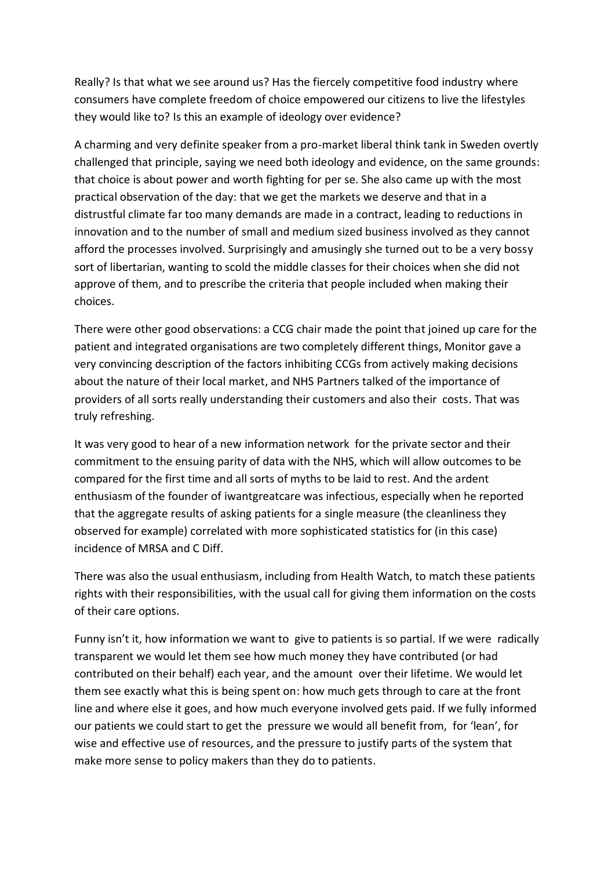Really? Is that what we see around us? Has the fiercely competitive food industry where consumers have complete freedom of choice empowered our citizens to live the lifestyles they would like to? Is this an example of ideology over evidence?

A charming and very definite speaker from a pro-market liberal think tank in Sweden overtly challenged that principle, saying we need both ideology and evidence, on the same grounds: that choice is about power and worth fighting for per se. She also came up with the most practical observation of the day: that we get the markets we deserve and that in a distrustful climate far too many demands are made in a contract, leading to reductions in innovation and to the number of small and medium sized business involved as they cannot afford the processes involved. Surprisingly and amusingly she turned out to be a very bossy sort of libertarian, wanting to scold the middle classes for their choices when she did not approve of them, and to prescribe the criteria that people included when making their choices.

There were other good observations: a CCG chair made the point that joined up care for the patient and integrated organisations are two completely different things, Monitor gave a very convincing description of the factors inhibiting CCGs from actively making decisions about the nature of their local market, and NHS Partners talked of the importance of providers of all sorts really understanding their customers and also their costs. That was truly refreshing.

It was very good to hear of a new information network for the private sector and their commitment to the ensuing parity of data with the NHS, which will allow outcomes to be compared for the first time and all sorts of myths to be laid to rest. And the ardent enthusiasm of the founder of iwantgreatcare was infectious, especially when he reported that the aggregate results of asking patients for a single measure (the cleanliness they observed for example) correlated with more sophisticated statistics for (in this case) incidence of MRSA and C Diff.

There was also the usual enthusiasm, including from Health Watch, to match these patients rights with their responsibilities, with the usual call for giving them information on the costs of their care options.

Funny isn't it, how information we want to give to patients is so partial. If we were radically transparent we would let them see how much money they have contributed (or had contributed on their behalf) each year, and the amount over their lifetime. We would let them see exactly what this is being spent on: how much gets through to care at the front line and where else it goes, and how much everyone involved gets paid. If we fully informed our patients we could start to get the pressure we would all benefit from, for 'lean', for wise and effective use of resources, and the pressure to justify parts of the system that make more sense to policy makers than they do to patients.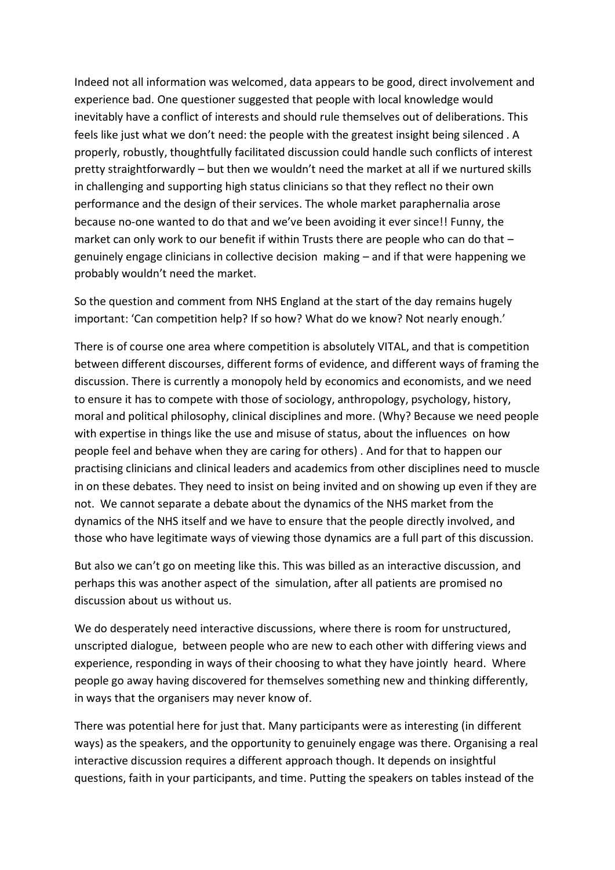Indeed not all information was welcomed, data appears to be good, direct involvement and experience bad. One questioner suggested that people with local knowledge would inevitably have a conflict of interests and should rule themselves out of deliberations. This feels like just what we don't need: the people with the greatest insight being silenced . A properly, robustly, thoughtfully facilitated discussion could handle such conflicts of interest pretty straightforwardly – but then we wouldn't need the market at all if we nurtured skills in challenging and supporting high status clinicians so that they reflect no their own performance and the design of their services. The whole market paraphernalia arose because no-one wanted to do that and we've been avoiding it ever since!! Funny, the market can only work to our benefit if within Trusts there are people who can do that – genuinely engage clinicians in collective decision making – and if that were happening we probably wouldn't need the market.

So the question and comment from NHS England at the start of the day remains hugely important: 'Can competition help? If so how? What do we know? Not nearly enough.'

There is of course one area where competition is absolutely VITAL, and that is competition between different discourses, different forms of evidence, and different ways of framing the discussion. There is currently a monopoly held by economics and economists, and we need to ensure it has to compete with those of sociology, anthropology, psychology, history, moral and political philosophy, clinical disciplines and more. (Why? Because we need people with expertise in things like the use and misuse of status, about the influences on how people feel and behave when they are caring for others) . And for that to happen our practising clinicians and clinical leaders and academics from other disciplines need to muscle in on these debates. They need to insist on being invited and on showing up even if they are not. We cannot separate a debate about the dynamics of the NHS market from the dynamics of the NHS itself and we have to ensure that the people directly involved, and those who have legitimate ways of viewing those dynamics are a full part of this discussion.

But also we can't go on meeting like this. This was billed as an interactive discussion, and perhaps this was another aspect of the simulation, after all patients are promised no discussion about us without us.

We do desperately need interactive discussions, where there is room for unstructured, unscripted dialogue, between people who are new to each other with differing views and experience, responding in ways of their choosing to what they have jointly heard. Where people go away having discovered for themselves something new and thinking differently, in ways that the organisers may never know of.

There was potential here for just that. Many participants were as interesting (in different ways) as the speakers, and the opportunity to genuinely engage was there. Organising a real interactive discussion requires a different approach though. It depends on insightful questions, faith in your participants, and time. Putting the speakers on tables instead of the